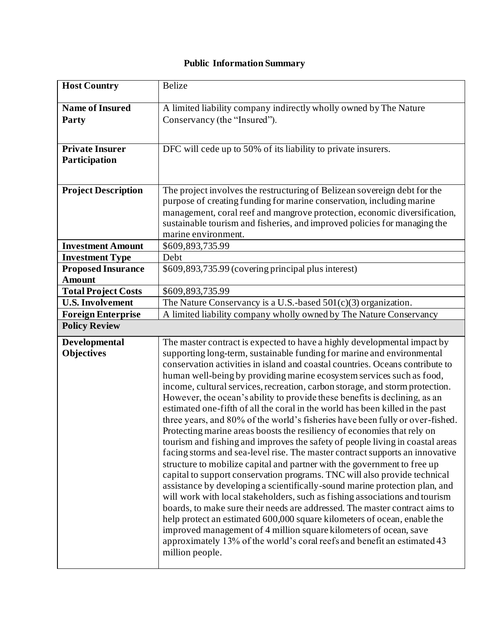## **Public Information Summary**

| <b>Host Country</b>                        | <b>Belize</b>                                                                                                                                              |
|--------------------------------------------|------------------------------------------------------------------------------------------------------------------------------------------------------------|
| <b>Name of Insured</b>                     | A limited liability company indirectly wholly owned by The Nature                                                                                          |
| Party                                      | Conservancy (the "Insured").                                                                                                                               |
|                                            |                                                                                                                                                            |
| <b>Private Insurer</b>                     | DFC will cede up to 50% of its liability to private insurers.                                                                                              |
| Participation                              |                                                                                                                                                            |
|                                            |                                                                                                                                                            |
| <b>Project Description</b>                 | The project involves the restructuring of Belizean sovereign debt for the                                                                                  |
|                                            | purpose of creating funding for marine conservation, including marine<br>management, coral reef and mangrove protection, economic diversification,         |
|                                            | sustainable tourism and fisheries, and improved policies for managing the                                                                                  |
|                                            | marine environment.                                                                                                                                        |
| <b>Investment Amount</b>                   | \$609,893,735.99                                                                                                                                           |
| <b>Investment Type</b>                     | Debt                                                                                                                                                       |
| <b>Proposed Insurance</b><br><b>Amount</b> | \$609,893,735.99 (covering principal plus interest)                                                                                                        |
| <b>Total Project Costs</b>                 | \$609,893,735.99                                                                                                                                           |
| <b>U.S. Involvement</b>                    | The Nature Conservancy is a U.S.-based $501(c)(3)$ organization.                                                                                           |
| <b>Foreign Enterprise</b>                  | A limited liability company wholly owned by The Nature Conservancy                                                                                         |
| <b>Policy Review</b>                       |                                                                                                                                                            |
| Developmental                              | The master contract is expected to have a highly developmental impact by                                                                                   |
| <b>Objectives</b>                          | supporting long-term, sustainable funding for marine and environmental                                                                                     |
|                                            | conservation activities in island and coastal countries. Oceans contribute to                                                                              |
|                                            | human well-being by providing marine ecosystem services such as food,                                                                                      |
|                                            | income, cultural services, recreation, carbon storage, and storm protection.<br>However, the ocean's ability to provide these benefits is declining, as an |
|                                            | estimated one-fifth of all the coral in the world has been killed in the past                                                                              |
|                                            | three years, and 80% of the world's fisheries have been fully or over-fished.                                                                              |
|                                            | Protecting marine areas boosts the resiliency of economies that rely on                                                                                    |
|                                            | tourism and fishing and improves the safety of people living in coastal areas                                                                              |
|                                            | facing storms and sea-level rise. The master contract supports an innovative<br>structure to mobilize capital and partner with the government to free up   |
|                                            | capital to support conservation programs. TNC will also provide technical                                                                                  |
|                                            | assistance by developing a scientifically-sound marine protection plan, and                                                                                |
|                                            | will work with local stakeholders, such as fishing associations and tourism                                                                                |
|                                            | boards, to make sure their needs are addressed. The master contract aims to                                                                                |
|                                            | help protect an estimated 600,000 square kilometers of ocean, enable the                                                                                   |
|                                            | improved management of 4 million square kilometers of ocean, save<br>approximately 13% of the world's coral reefs and benefit an estimated 43              |
|                                            | million people.                                                                                                                                            |
|                                            |                                                                                                                                                            |